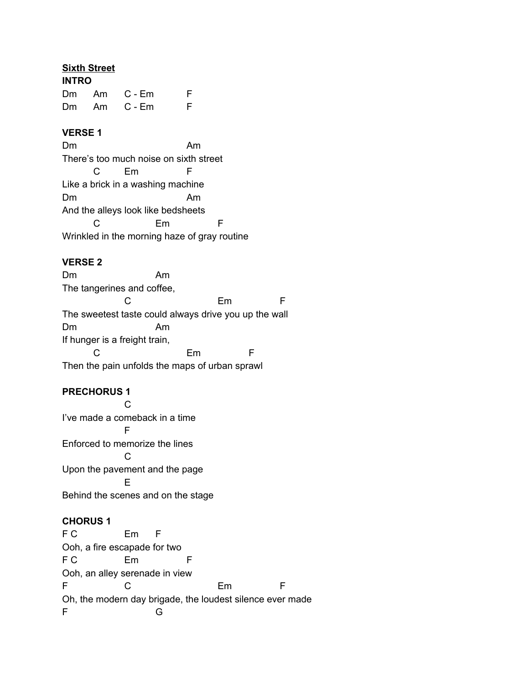## **Sixth Street**

| <b>INTRO</b> |  |            |    |  |
|--------------|--|------------|----|--|
|              |  | Dm Am C-Em | F. |  |
|              |  | Dm Am C-Em | F. |  |

## **VERSE 1**

Dm Am There's too much noise on sixth street C Em F Like a brick in a washing machine Dm Am And the alleys look like bedsheets C Em F Wrinkled in the morning haze of gray routine

# **VERSE 2**

Dm Am The tangerines and coffee, C Em F The sweetest taste could always drive you up the wall Dm Am If hunger is a freight train, C Em F Then the pain unfolds the maps of urban sprawl

# **PRECHORUS 1**

 $\mathcal{C}$ I've made a comeback in a time F Enforced to memorize the lines C Upon the pavement and the page E Behind the scenes and on the stage

## **CHORUS 1**

F C Em F Ooh, a fire escapade for two F C Em F Ooh, an alley serenade in view F C Em F Oh, the modern day brigade, the loudest silence ever made F G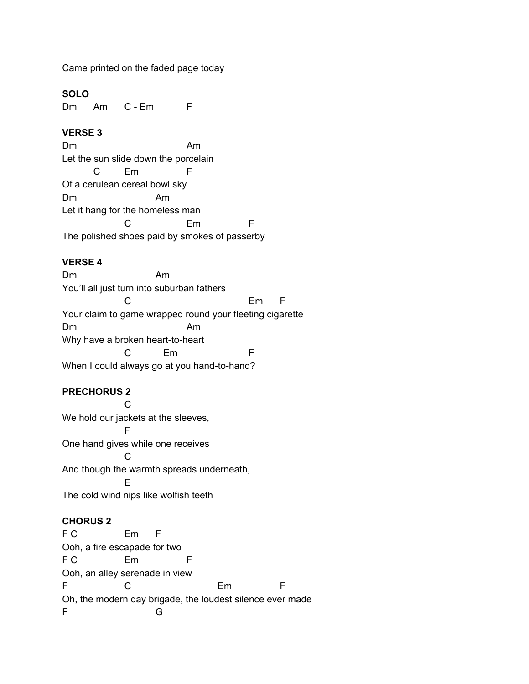Came printed on the faded page today

## **SOLO**

Dm Am C - Em F

## **VERSE 3**

Dm Am Let the sun slide down the porcelain C Em F Of a cerulean cereal bowl sky Dm Am Let it hang for the homeless man C Em F The polished shoes paid by smokes of passerby

# **VERSE 4**

Dm Am You'll all just turn into suburban fathers C Em F Your claim to game wrapped round your fleeting cigarette Dm Am Why have a broken heart-to-heart C Em F When I could always go at you hand-to-hand?

# **PRECHORUS 2**

C We hold our jackets at the sleeves, F One hand gives while one receives  $\mathcal{C}$ And though the warmth spreads underneath, E The cold wind nips like wolfish teeth

# **CHORUS 2**

F C Em F Ooh, a fire escapade for two F C Em F Ooh, an alley serenade in view F C Em F Oh, the modern day brigade, the loudest silence ever made F G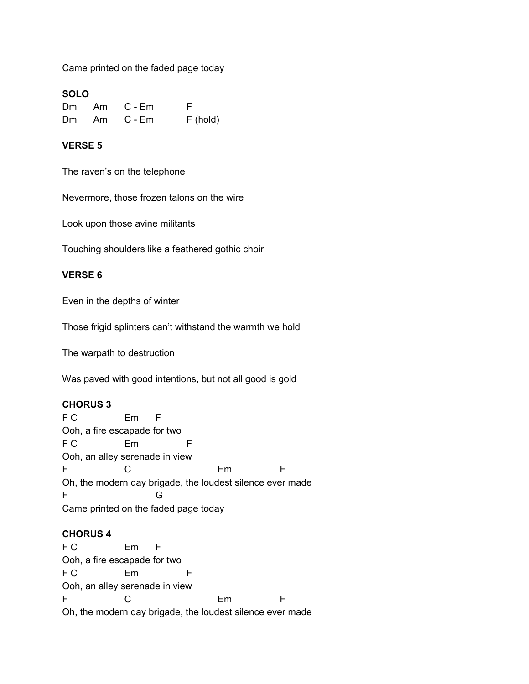Came printed on the faded page today

## **SOLO**

| Dm | Am    | C - Em | E          |
|----|-------|--------|------------|
|    | Dm Am | C - Em | $F$ (hold) |

## **VERSE 5**

The raven's on the telephone

Nevermore, those frozen talons on the wire

Look upon those avine militants

Touching shoulders like a feathered gothic choir

## **VERSE 6**

Even in the depths of winter

Those frigid splinters can't withstand the warmth we hold

The warpath to destruction

Was paved with good intentions, but not all good is gold

### **CHORUS 3**

F C Em F Ooh, a fire escapade for two F C Em F Ooh, an alley serenade in view F C Em F Oh, the modern day brigade, the loudest silence ever made F G Came printed on the faded page today

#### **CHORUS 4**

F C Em F Ooh, a fire escapade for two F C Em F Ooh, an alley serenade in view F C Em F Oh, the modern day brigade, the loudest silence ever made